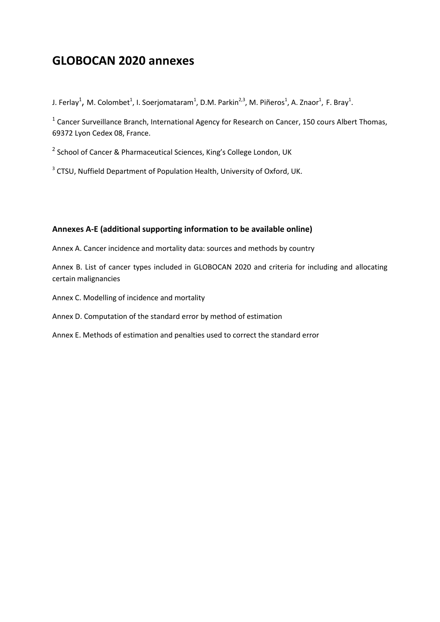# **GLOBOCAN 2020 annexes**

J. Ferlay<sup>1</sup>, M. Colombet<sup>1</sup>, I. Soerjomataram<sup>1</sup>, D.M. Parkin<sup>2,3</sup>, M. Piñeros<sup>1</sup>, A. Znaor<sup>1</sup>, F. Bray<sup>1</sup>.

 $<sup>1</sup>$  Cancer Surveillance Branch, International Agency for Research on Cancer, 150 cours Albert Thomas,</sup> 69372 Lyon Cedex 08, France.

<sup>2</sup> School of Cancer & Pharmaceutical Sciences, King's College London, UK

<sup>3</sup> CTSU, Nuffield Department of Population Health, University of Oxford, UK.

# **Annexes A-E (additional supporting information to be available online)**

Annex A. Cancer incidence and mortality data: sources and methods by country

Annex B. List of cancer types included in GLOBOCAN 2020 and criteria for including and allocating certain malignancies

Annex C. Modelling of incidence and mortality

### Annex D. Computation of the standard error by method of estimation

Annex E. Methods of estimation and penalties used to correct the standard error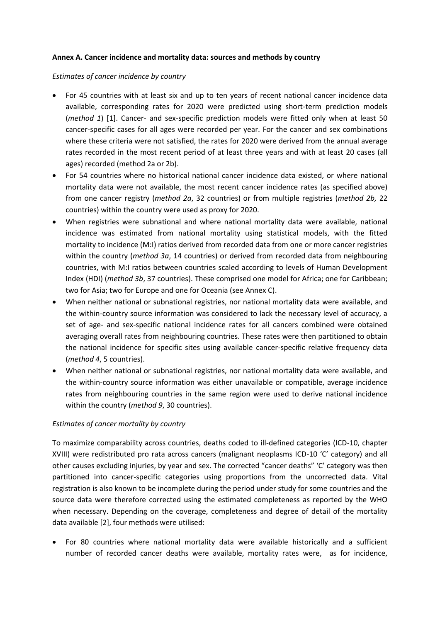### **Annex A. Cancer incidence and mortality data: sources and methods by country**

### *Estimates of cancer incidence by country*

- For 45 countries with at least six and up to ten years of recent national cancer incidence data available, corresponding rates for 2020 were predicted using short-term prediction models (*method 1*) [1]. Cancer- and sex-specific prediction models were fitted only when at least 50 cancer-specific cases for all ages were recorded per year. For the cancer and sex combinations where these criteria were not satisfied, the rates for 2020 were derived from the annual average rates recorded in the most recent period of at least three years and with at least 20 cases (all ages) recorded (method 2a or 2b).
- For 54 countries where no historical national cancer incidence data existed, or where national mortality data were not available, the most recent cancer incidence rates (as specified above) from one cancer registry (*method 2a*, 32 countries) or from multiple registries (*method 2b,* 22 countries) within the country were used as proxy for 2020.
- When registries were subnational and where national mortality data were available, national incidence was estimated from national mortality using statistical models, with the fitted mortality to incidence (M:I) ratios derived from recorded data from one or more cancer registries within the country (*method 3a*, 14 countries) or derived from recorded data from neighbouring countries, with M:I ratios between countries scaled according to levels of Human Development Index (HDI) (*method 3b*, 37 countries). These comprised one model for Africa; one for Caribbean; two for Asia; two for Europe and one for Oceania (see Annex C).
- When neither national or subnational registries, nor national mortality data were available, and the within-country source information was considered to lack the necessary level of accuracy, a set of age- and sex-specific national incidence rates for all cancers combined were obtained averaging overall rates from neighbouring countries. These rates were then partitioned to obtain the national incidence for specific sites using available cancer-specific relative frequency data (*method 4*, 5 countries).
- When neither national or subnational registries, nor national mortality data were available, and the within-country source information was either unavailable or compatible, average incidence rates from neighbouring countries in the same region were used to derive national incidence within the country (*method 9*, 30 countries).

# *Estimates of cancer mortality by country*

To maximize comparability across countries, deaths coded to ill-defined categories (ICD-10, chapter XVIII) were redistributed pro rata across cancers (malignant neoplasms ICD-10 'C' category) and all other causes excluding injuries, by year and sex. The corrected "cancer deaths" 'C' category was then partitioned into cancer-specific categories using proportions from the uncorrected data. Vital registration is also known to be incomplete during the period under study for some countries and the source data were therefore corrected using the estimated completeness as reported by the WHO when necessary. Depending on the coverage, completeness and degree of detail of the mortality data available [2], four methods were utilised:

 For 80 countries where national mortality data were available historically and a sufficient number of recorded cancer deaths were available, mortality rates were, as for incidence,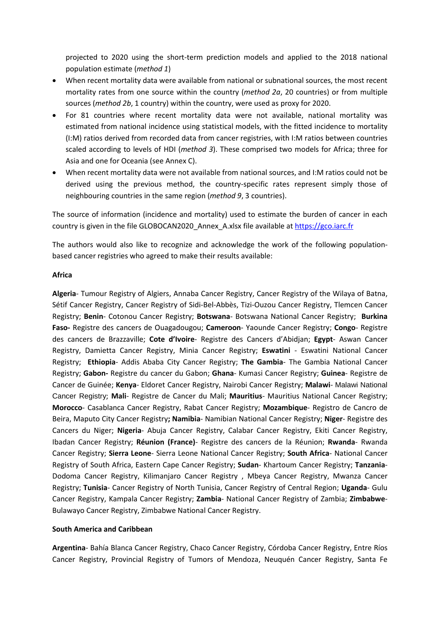projected to 2020 using the short-term prediction models and applied to the 2018 national population estimate (*method 1*)

- When recent mortality data were available from national or subnational sources, the most recent mortality rates from one source within the country (*method 2a*, 20 countries) or from multiple sources (*method 2b*, 1 country) within the country, were used as proxy for 2020.
- For 81 countries where recent mortality data were not available, national mortality was estimated from national incidence using statistical models, with the fitted incidence to mortality (I:M) ratios derived from recorded data from cancer registries, with I:M ratios between countries scaled according to levels of HDI (*method 3*). These comprised two models for Africa; three for Asia and one for Oceania (see Annex C).
- When recent mortality data were not available from national sources, and I:M ratios could not be derived using the previous method, the country-specific rates represent simply those of neighbouring countries in the same region (*method 9*, 3 countries).

The source of information (incidence and mortality) used to estimate the burden of cancer in each country is given in the file GLOBOCAN2020\_Annex\_A.xlsx file available at [https://gco.iarc.fr](https://gco.iarc.fr/)

The authors would also like to recognize and acknowledge the work of the following populationbased cancer registries who agreed to make their results available:

### **Africa**

**Algeria**- Tumour Registry of Algiers, Annaba Cancer Registry, Cancer Registry of the Wilaya of Batna, Sétif Cancer Registry, Cancer Registry of Sidi-Bel-Abbès, Tizi-Ouzou Cancer Registry, Tlemcen Cancer Registry; **Benin**- Cotonou Cancer Registry; **Botswana**- Botswana National Cancer Registry; **Burkina Faso-** Registre des cancers de Ouagadougou; **Cameroon**- Yaounde Cancer Registry; **Congo**- Registre des cancers de Brazzaville; **Cote d'Ivoire**- Registre des Cancers d'Abidjan; **Egypt**- Aswan Cancer Registry, Damietta Cancer Registry, Minia Cancer Registry; **Eswatini** - Eswatini National Cancer Registry; **Ethiopia**- Addis Ababa City Cancer Registry; **The Gambia**- The Gambia National Cancer Registry; **Gabon-** Registre du cancer du Gabon; **Ghana**- Kumasi Cancer Registry; **Guinea**- Registre de Cancer de Guinée; **Kenya**- Eldoret Cancer Registry, Nairobi Cancer Registry; **Malawi**- Malawi National Cancer Registry; **Mali**- Registre de Cancer du Mali; **Mauritius**- Mauritius National Cancer Registry; **Morocco**- Casablanca Cancer Registry, Rabat Cancer Registry; **Mozambique**- Registro de Cancro de Beira, Maputo City Cancer Registry**; Namibia**- Namibian National Cancer Registry; **Niger**- Registre des Cancers du Niger; **Nigeria**- Abuja Cancer Registry, Calabar Cancer Registry, Ekiti Cancer Registry, Ibadan Cancer Registry; **Réunion (France)**- Registre des cancers de la Réunion; **Rwanda**- Rwanda Cancer Registry; **Sierra Leone**- Sierra Leone National Cancer Registry; **South Africa**- National Cancer Registry of South Africa, Eastern Cape Cancer Registry; **Sudan**- Khartoum Cancer Registry; **Tanzania**-Dodoma Cancer Registry, Kilimanjaro Cancer Registry , Mbeya Cancer Registry, Mwanza Cancer Registry; **Tunisia**- Cancer Registry of North Tunisia, Cancer Registry of Central Region; **Uganda**- Gulu Cancer Registry, Kampala Cancer Registry; **Zambia**- National Cancer Registry of Zambia; **Zimbabwe**-Bulawayo Cancer Registry, Zimbabwe National Cancer Registry.

### **South America and Caribbean**

**Argentina**- Bahía Blanca Cancer Registry, Chaco Cancer Registry, Córdoba Cancer Registry, Entre Ríos Cancer Registry, Provincial Registry of Tumors of Mendoza, Neuquén Cancer Registry, Santa Fe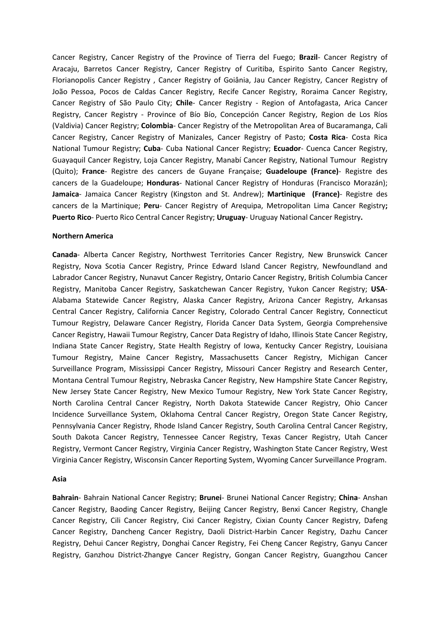Cancer Registry, Cancer Registry of the Province of Tierra del Fuego; **Brazil**- Cancer Registry of Aracaju, Barretos Cancer Registry, Cancer Registry of Curitiba, Espirito Santo Cancer Registry, Florianopolis Cancer Registry , Cancer Registry of Goiânia, Jau Cancer Registry, Cancer Registry of João Pessoa, Pocos de Caldas Cancer Registry, Recife Cancer Registry, Roraima Cancer Registry, Cancer Registry of São Paulo City; **Chile**- Cancer Registry - Region of Antofagasta, Arica Cancer Registry, Cancer Registry - Province of Bío Bío, Concepción Cancer Registry, Region de Los Ríos (Valdivia) Cancer Registry; **Colombia**- Cancer Registry of the Metropolitan Area of Bucaramanga, Cali Cancer Registry, Cancer Registry of Manizales, Cancer Registry of Pasto; **Costa Rica**- Costa Rica National Tumour Registry; **Cuba**- Cuba National Cancer Registry; **Ecuador**- Cuenca Cancer Registry, Guayaquil Cancer Registry, Loja Cancer Registry, Manabí Cancer Registry, National Tumour Registry (Quito); **France**- Registre des cancers de Guyane Française; **Guadeloupe (France)**- Registre des cancers de la Guadeloupe; **Honduras**- National Cancer Registry of Honduras (Francisco Morazán); **Jamaica**- Jamaica Cancer Registry (Kingston and St. Andrew); **Martinique (France)**- Registre des cancers de la Martinique; **Peru**- Cancer Registry of Arequipa, Metropolitan Lima Cancer Registry**; Puerto Rico**- Puerto Rico Central Cancer Registry; **Uruguay**- Uruguay National Cancer Registry**.**

### **Northern America**

**Canada**- Alberta Cancer Registry, Northwest Territories Cancer Registry, New Brunswick Cancer Registry, Nova Scotia Cancer Registry, Prince Edward Island Cancer Registry, Newfoundland and Labrador Cancer Registry, Nunavut Cancer Registry, Ontario Cancer Registry, British Columbia Cancer Registry, Manitoba Cancer Registry, Saskatchewan Cancer Registry, Yukon Cancer Registry; **USA**-Alabama Statewide Cancer Registry, Alaska Cancer Registry, Arizona Cancer Registry, Arkansas Central Cancer Registry, California Cancer Registry, Colorado Central Cancer Registry, Connecticut Tumour Registry, Delaware Cancer Registry, Florida Cancer Data System, Georgia Comprehensive Cancer Registry, Hawaii Tumour Registry, Cancer Data Registry of Idaho, Illinois State Cancer Registry, Indiana State Cancer Registry, State Health Registry of Iowa, Kentucky Cancer Registry, Louisiana Tumour Registry, Maine Cancer Registry, Massachusetts Cancer Registry, Michigan Cancer Surveillance Program, Mississippi Cancer Registry, Missouri Cancer Registry and Research Center, Montana Central Tumour Registry, Nebraska Cancer Registry, New Hampshire State Cancer Registry, New Jersey State Cancer Registry, New Mexico Tumour Registry, New York State Cancer Registry, North Carolina Central Cancer Registry, North Dakota Statewide Cancer Registry, Ohio Cancer Incidence Surveillance System, Oklahoma Central Cancer Registry, Oregon State Cancer Registry, Pennsylvania Cancer Registry, Rhode Island Cancer Registry, South Carolina Central Cancer Registry, South Dakota Cancer Registry, Tennessee Cancer Registry, Texas Cancer Registry, Utah Cancer Registry, Vermont Cancer Registry, Virginia Cancer Registry, Washington State Cancer Registry, West Virginia Cancer Registry, Wisconsin Cancer Reporting System, Wyoming Cancer Surveillance Program.

### **Asia**

**Bahrain**- Bahrain National Cancer Registry; **Brunei**- Brunei National Cancer Registry; **China**- Anshan Cancer Registry, Baoding Cancer Registry, Beijing Cancer Registry, Benxi Cancer Registry, Changle Cancer Registry, Cili Cancer Registry, Cixi Cancer Registry, Cixian County Cancer Registry, Dafeng Cancer Registry, Dancheng Cancer Registry, Daoli District-Harbin Cancer Registry, Dazhu Cancer Registry, Dehui Cancer Registry, Donghai Cancer Registry, Fei Cheng Cancer Registry, Ganyu Cancer Registry, Ganzhou District-Zhangye Cancer Registry, Gongan Cancer Registry, Guangzhou Cancer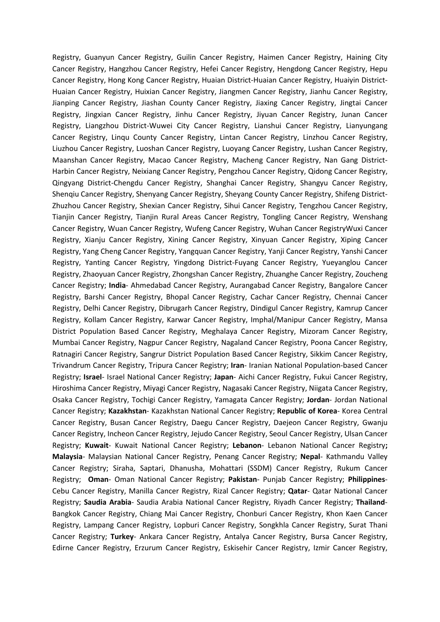Registry, Guanyun Cancer Registry, Guilin Cancer Registry, Haimen Cancer Registry, Haining City Cancer Registry, Hangzhou Cancer Registry, Hefei Cancer Registry, Hengdong Cancer Registry, Hepu Cancer Registry, Hong Kong Cancer Registry, Huaian District-Huaian Cancer Registry, Huaiyin District-Huaian Cancer Registry, Huixian Cancer Registry, Jiangmen Cancer Registry, Jianhu Cancer Registry, Jianping Cancer Registry, Jiashan County Cancer Registry, Jiaxing Cancer Registry, Jingtai Cancer Registry, Jingxian Cancer Registry, Jinhu Cancer Registry, Jiyuan Cancer Registry, Junan Cancer Registry, Liangzhou District-Wuwei City Cancer Registry, Lianshui Cancer Registry, Lianyungang Cancer Registry, Linqu County Cancer Registry, Lintan Cancer Registry, Linzhou Cancer Registry, Liuzhou Cancer Registry, Luoshan Cancer Registry, Luoyang Cancer Registry, Lushan Cancer Registry, Maanshan Cancer Registry, Macao Cancer Registry, Macheng Cancer Registry, Nan Gang District-Harbin Cancer Registry, Neixiang Cancer Registry, Pengzhou Cancer Registry, Qidong Cancer Registry, Qingyang District-Chengdu Cancer Registry, Shanghai Cancer Registry, Shangyu Cancer Registry, Shenqiu Cancer Registry, Shenyang Cancer Registry, Sheyang County Cancer Registry, Shifeng District-Zhuzhou Cancer Registry, Shexian Cancer Registry, Sihui Cancer Registry, Tengzhou Cancer Registry, Tianjin Cancer Registry, Tianjin Rural Areas Cancer Registry, Tongling Cancer Registry, Wenshang Cancer Registry, Wuan Cancer Registry, Wufeng Cancer Registry, Wuhan Cancer RegistryWuxi Cancer Registry, Xianju Cancer Registry, Xining Cancer Registry, Xinyuan Cancer Registry, Xiping Cancer Registry, Yang Cheng Cancer Registry, Yangquan Cancer Registry, Yanji Cancer Registry, Yanshi Cancer Registry, Yanting Cancer Registry, Yingdong District-Fuyang Cancer Registry, Yueyanglou Cancer Registry, Zhaoyuan Cancer Registry, Zhongshan Cancer Registry, Zhuanghe Cancer Registry, Zoucheng Cancer Registry; **India**- Ahmedabad Cancer Registry, Aurangabad Cancer Registry, Bangalore Cancer Registry, Barshi Cancer Registry, Bhopal Cancer Registry, Cachar Cancer Registry, Chennai Cancer Registry, Delhi Cancer Registry, Dibrugarh Cancer Registry, Dindigul Cancer Registry, Kamrup Cancer Registry, Kollam Cancer Registry, Karwar Cancer Registry, Imphal/Manipur Cancer Registry, Mansa District Population Based Cancer Registry, Meghalaya Cancer Registry, Mizoram Cancer Registry, Mumbai Cancer Registry, Nagpur Cancer Registry, Nagaland Cancer Registry, Poona Cancer Registry, Ratnagiri Cancer Registry, Sangrur District Population Based Cancer Registry, Sikkim Cancer Registry, Trivandrum Cancer Registry, Tripura Cancer Registry; **Iran**- Iranian National Population-based Cancer Registry; **Israel**- Israel National Cancer Registry; **Japan**- Aichi Cancer Registry, Fukui Cancer Registry, Hiroshima Cancer Registry, Miyagi Cancer Registry, Nagasaki Cancer Registry, Niigata Cancer Registry, Osaka Cancer Registry, Tochigi Cancer Registry, Yamagata Cancer Registry; **Jordan**- Jordan National Cancer Registry; **Kazakhstan**- Kazakhstan National Cancer Registry; **Republic of Korea**- Korea Central Cancer Registry, Busan Cancer Registry, Daegu Cancer Registry, Daejeon Cancer Registry, Gwanju Cancer Registry, Incheon Cancer Registry, Jejudo Cancer Registry, Seoul Cancer Registry, Ulsan Cancer Registry; **Kuwait**- Kuwait National Cancer Registry; **Lebanon**- Lebanon National Cancer Registry**; Malaysia**- Malaysian National Cancer Registry, Penang Cancer Registry; **Nepal**- Kathmandu Valley Cancer Registry; Siraha, Saptari, Dhanusha, Mohattari (SSDM) Cancer Registry, Rukum Cancer Registry; **Oman**- Oman National Cancer Registry; **Pakistan**- Punjab Cancer Registry; **Philippines**-Cebu Cancer Registry, Manilla Cancer Registry, Rizal Cancer Registry; **Qatar**- Qatar National Cancer Registry; **Saudia Arabia**- Saudia Arabia National Cancer Registry, Riyadh Cancer Registry; **Thailand**-Bangkok Cancer Registry, Chiang Mai Cancer Registry, Chonburi Cancer Registry, Khon Kaen Cancer Registry, Lampang Cancer Registry, Lopburi Cancer Registry, Songkhla Cancer Registry, Surat Thani Cancer Registry; **Turkey**- Ankara Cancer Registry, Antalya Cancer Registry, Bursa Cancer Registry, Edirne Cancer Registry, Erzurum Cancer Registry, Eskisehir Cancer Registry, Izmir Cancer Registry,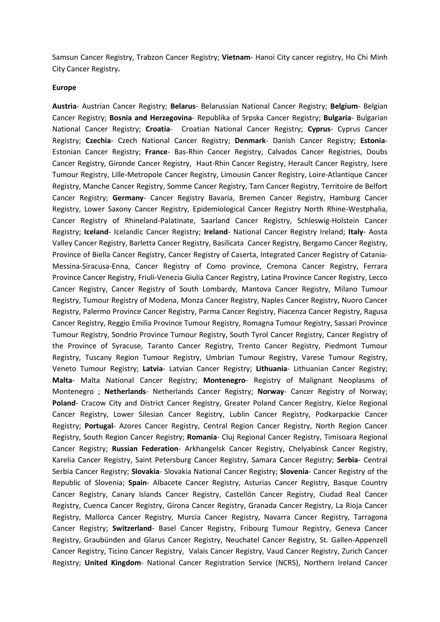Samsun Cancer Registry, Trabzon Cancer Registry; **Vietnam**- Hanoi City cancer registry, Ho Chi Minh City Cancer Registry**.**

#### **Europe**

**Austria**- Austrian Cancer Registry; **Belarus**- Belarussian National Cancer Registry; **Belgium**- Belgian Cancer Registry; **Bosnia and Herzegovina**- Republika of Srpska Cancer Registry; **Bulgaria**- Bulgarian National Cancer Registry; **Croatia**- Croatian National Cancer Registry; **Cyprus**- Cyprus Cancer Registry; **Czechia**- Czech National Cancer Registry; **Denmark**- Danish Cancer Registry; **Estonia**-Estonian Cancer Registry; **France**- Bas-Rhin Cancer Registry, Calvados Cancer Registries, Doubs Cancer Registry, Gironde Cancer Registry, Haut-Rhin Cancer Registry, Herault Cancer Registry, Isere Tumour Registry, Lille-Metropole Cancer Registry, Limousin Cancer Registry, Loire-Atlantique Cancer Registry, Manche Cancer Registry, Somme Cancer Registry, Tarn Cancer Registry, Territoire de Belfort Cancer Registry; **Germany**- Cancer Registry Bavaria, Bremen Cancer Registry, Hamburg Cancer Registry, Lower Saxony Cancer Registry, Epidemiological Cancer Registry North Rhine-Westphalia, Cancer Registry of Rhineland-Palatinate, Saarland Cancer Registry, Schleswig-Holstein Cancer Registry; **Iceland**- Icelandic Cancer Registry; **Ireland**- National Cancer Registry Ireland; **Italy**- Aosta Valley Cancer Registry, Barletta Cancer Registry, Basilicata Cancer Registry, Bergamo Cancer Registry, Province of Biella Cancer Registry, Cancer Registry of Caserta, Integrated Cancer Registry of Catania-Messina-Siracusa-Enna, Cancer Registry of Como province, Cremona Cancer Registry, Ferrara Province Cancer Registry, Friuli-Venezia Giulia Cancer Registry, Latina Province Cancer Registry, Lecco Cancer Registry, Cancer Registry of South Lombardy, Mantova Cancer Registry, Milano Tumour Registry, Tumour Registry of Modena, Monza Cancer Registry, Naples Cancer Registry, Nuoro Cancer Registry, Palermo Province Cancer Registry, Parma Cancer Registry, Piacenza Cancer Registry, Ragusa Cancer Registry, Reggio Emilia Province Tumour Registry, Romagna Tumour Registry, Sassari Province Tumour Registry, Sondrio Province Tumour Registry, South Tyrol Cancer Registry, Cancer Registry of the Province of Syracuse, Taranto Cancer Registry, Trento Cancer Registry, Piedmont Tumour Registry, Tuscany Region Tumour Registry, Umbrian Tumour Registry, Varese Tumour Registry, Veneto Tumour Registry; **Latvia**- Latvian Cancer Registry; **Lithuania**- Lithuanian Cancer Registry; **Malta**- Malta National Cancer Registry; **Montenegro**- Registry of Malignant Neoplasms of Montenegro ; **Netherlands**- Netherlands Cancer Registry; **Norway**- Cancer Registry of Norway; Poland- Cracow City and District Cancer Registry, Greater Poland Cancer Registry, Kielce Regional Cancer Registry, Lower Silesian Cancer Registry, Lublin Cancer Registry, Podkarpackie Cancer Registry; **Portugal**- Azores Cancer Registry, Central Region Cancer Registry, North Region Cancer Registry, South Region Cancer Registry; **Romania**- Cluj Regional Cancer Registry, Timisoara Regional Cancer Registry; **Russian Federation**- Arkhangelsk Cancer Registry, Chelyabinsk Cancer Registry, Karelia Cancer Registry, Saint Petersburg Cancer Registry, Samara Cancer Registry; **Serbia**- Central Serbia Cancer Registry; **Slovakia**- Slovakia National Cancer Registry; **Slovenia**- Cancer Registry of the Republic of Slovenia; **Spain**- Albacete Cancer Registry, Asturias Cancer Registry, Basque Country Cancer Registry, Canary Islands Cancer Registry, Castellón Cancer Registry, Ciudad Real Cancer Registry, Cuenca Cancer Registry, Girona Cancer Registry, Granada Cancer Registry, La Rioja Cancer Registry, Mallorca Cancer Registry, Murcia Cancer Registry, Navarra Cancer Registry, Tarragona Cancer Registry; **Switzerland**- Basel Cancer Registry, Fribourg Tumour Registry, Geneva Cancer Registry, Graubünden and Glarus Cancer Registry, Neuchatel Cancer Registry, St. Gallen-Appenzell Cancer Registry, Ticino Cancer Registry, Valais Cancer Registry, Vaud Cancer Registry, Zurich Cancer Registry; **United Kingdom**- National Cancer Registration Service (NCRS), Northern Ireland Cancer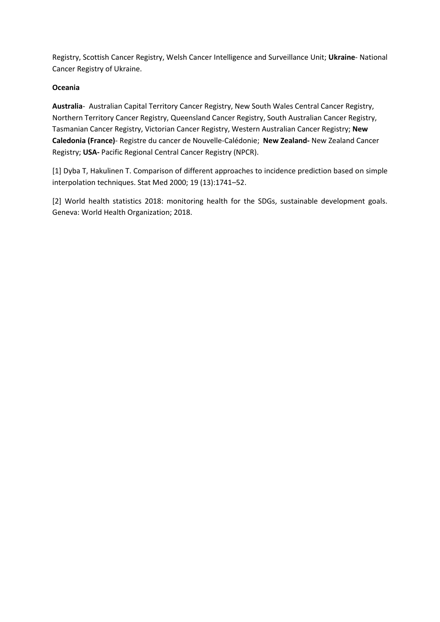Registry, Scottish Cancer Registry, Welsh Cancer Intelligence and Surveillance Unit; **Ukraine**- National Cancer Registry of Ukraine.

# **Oceania**

**Australia**- Australian Capital Territory Cancer Registry, New South Wales Central Cancer Registry, Northern Territory Cancer Registry, Queensland Cancer Registry, South Australian Cancer Registry, Tasmanian Cancer Registry, Victorian Cancer Registry, Western Australian Cancer Registry; **New Caledonia (France)**- Registre du cancer de Nouvelle-Calédonie; **New Zealand-** New Zealand Cancer Registry; **USA-** Pacific Regional Central Cancer Registry (NPCR).

[1] Dyba T, Hakulinen T. Comparison of different approaches to incidence prediction based on simple interpolation techniques. Stat Med 2000; 19 (13):1741–52.

[2] World health statistics 2018: monitoring health for the SDGs, sustainable development goals. Geneva: World Health Organization; 2018.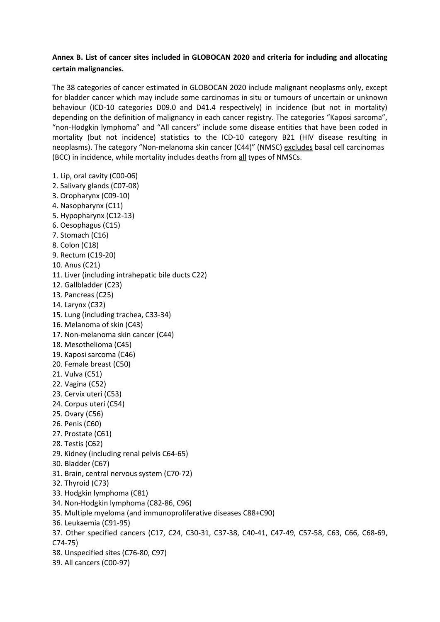# **Annex B. List of cancer sites included in GLOBOCAN 2020 and criteria for including and allocating certain malignancies.**

The 38 categories of cancer estimated in GLOBOCAN 2020 include malignant neoplasms only, except for bladder cancer which may include some carcinomas in situ or tumours of uncertain or unknown behaviour (ICD-10 categories D09.0 and D41.4 respectively) in incidence (but not in mortality) depending on the definition of malignancy in each cancer registry. The categories "Kaposi sarcoma", "non-Hodgkin lymphoma" and "All cancers" include some disease entities that have been coded in mortality (but not incidence) statistics to the ICD-10 category B21 (HIV disease resulting in neoplasms). The category "Non-melanoma skin cancer (C44)" (NMSC) excludes basal cell carcinomas (BCC) in incidence, while mortality includes deaths from all types of NMSCs.

1. Lip, oral cavity (C00-06) 2. Salivary glands (C07-08) 3. Oropharynx (C09-10) 4. Nasopharynx (C11) 5. Hypopharynx (C12-13) 6. Oesophagus (C15) 7. Stomach (C16) 8. Colon (C18) 9. Rectum (C19-20) 10. Anus (C21) 11. Liver (including intrahepatic bile ducts C22) 12. Gallbladder (C23) 13. Pancreas (C25) 14. Larynx (C32) 15. Lung (including trachea, C33-34) 16. Melanoma of skin (C43) 17. Non-melanoma skin cancer (C44) 18. Mesothelioma (C45) 19. Kaposi sarcoma (C46) 20. Female breast (C50) 21. Vulva (C51) 22. Vagina (C52) 23. Cervix uteri (C53) 24. Corpus uteri (C54) 25. Ovary (C56) 26. Penis (C60) 27. Prostate (C61) 28. Testis (C62) 29. Kidney (including renal pelvis C64-65) 30. Bladder (C67) 31. Brain, central nervous system (C70-72) 32. Thyroid (C73) 33. Hodgkin lymphoma (C81) 34. Non-Hodgkin lymphoma (C82-86, C96) 35. Multiple myeloma (and immunoproliferative diseases C88+C90) 36. Leukaemia (C91-95) 37. Other specified cancers (C17, C24, C30-31, C37-38, C40-41, C47-49, C57-58, C63, C66, C68-69, C74-75) 38. Unspecified sites (C76-80, C97) 39. All cancers (C00-97)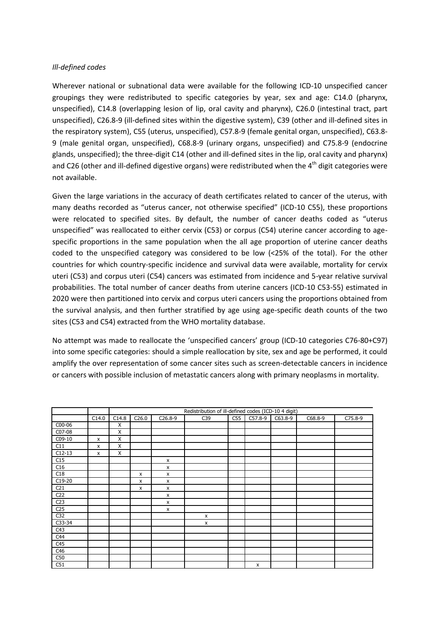### *Ill-defined codes*

Wherever national or subnational data were available for the following ICD-10 unspecified cancer groupings they were redistributed to specific categories by year, sex and age: C14.0 (pharynx, unspecified), C14.8 (overlapping lesion of lip, oral cavity and pharynx), C26.0 (intestinal tract, part unspecified), C26.8-9 (ill-defined sites within the digestive system), C39 (other and ill-defined sites in the respiratory system), C55 (uterus, unspecified), C57.8-9 (female genital organ, unspecified), C63.8- 9 (male genital organ, unspecified), C68.8-9 (urinary organs, unspecified) and C75.8-9 (endocrine glands, unspecified); the three-digit C14 (other and ill-defined sites in the lip, oral cavity and pharynx) and C26 (other and ill-defined digestive organs) were redistributed when the 4<sup>th</sup> digit categories were not available.

Given the large variations in the accuracy of death certificates related to cancer of the uterus, with many deaths recorded as "uterus cancer, not otherwise specified" (ICD-10 C55), these proportions were relocated to specified sites. By default, the number of cancer deaths coded as "uterus unspecified" was reallocated to either cervix (C53) or corpus (C54) uterine cancer according to agespecific proportions in the same population when the all age proportion of uterine cancer deaths coded to the unspecified category was considered to be low (<25% of the total). For the other countries for which country-specific incidence and survival data were available, mortality for cervix uteri (C53) and corpus uteri (C54) cancers was estimated from incidence and 5-year relative survival probabilities. The total number of cancer deaths from uterine cancers (ICD-10 C53-55) estimated in 2020 were then partitioned into cervix and corpus uteri cancers using the proportions obtained from the survival analysis, and then further stratified by age using age-specific death counts of the two sites (C53 and C54) extracted from the WHO mortality database.

No attempt was made to reallocate the 'unspecified cancers' group (ICD-10 categories C76-80+C97) into some specific categories: should a simple reallocation by site, sex and age be performed, it could amplify the over representation of some cancer sites such as screen-detectable cancers in incidence or cancers with possible inclusion of metastatic cancers along with primary neoplasms in mortality.

|                 |              | Redistribution of ill-defined codes (ICD-10 4 digit) |       |           |     |     |           |           |         |         |
|-----------------|--------------|------------------------------------------------------|-------|-----------|-----|-----|-----------|-----------|---------|---------|
|                 | C14.0        | C14.8                                                | C26.0 | $C26.8-9$ | C39 | C55 | $C57.8-9$ | $C63.8-9$ | C68.8-9 | C75.8-9 |
| C00-06          |              | X                                                    |       |           |     |     |           |           |         |         |
| C07-08          |              | X                                                    |       |           |     |     |           |           |         |         |
| C09-10          | $\mathsf{x}$ | X                                                    |       |           |     |     |           |           |         |         |
| C11             | X            | X                                                    |       |           |     |     |           |           |         |         |
| $C12-13$        | X            | X                                                    |       |           |     |     |           |           |         |         |
| C15             |              |                                                      |       | X         |     |     |           |           |         |         |
| C16             |              |                                                      |       | X         |     |     |           |           |         |         |
| C18             |              |                                                      | x     | x         |     |     |           |           |         |         |
| $C19-20$        |              |                                                      | X     | X         |     |     |           |           |         |         |
| C <sub>21</sub> |              |                                                      | x     | x         |     |     |           |           |         |         |
| C <sub>22</sub> |              |                                                      |       | x         |     |     |           |           |         |         |
| C <sub>23</sub> |              |                                                      |       | x         |     |     |           |           |         |         |
| C <sub>25</sub> |              |                                                      |       | x         |     |     |           |           |         |         |
| C <sub>32</sub> |              |                                                      |       |           | X   |     |           |           |         |         |
| C33-34          |              |                                                      |       |           | X   |     |           |           |         |         |
| C43             |              |                                                      |       |           |     |     |           |           |         |         |
| C44             |              |                                                      |       |           |     |     |           |           |         |         |
| C45             |              |                                                      |       |           |     |     |           |           |         |         |
| C46             |              |                                                      |       |           |     |     |           |           |         |         |
| C50             |              |                                                      |       |           |     |     |           |           |         |         |
| C51             |              |                                                      |       |           |     |     | X         |           |         |         |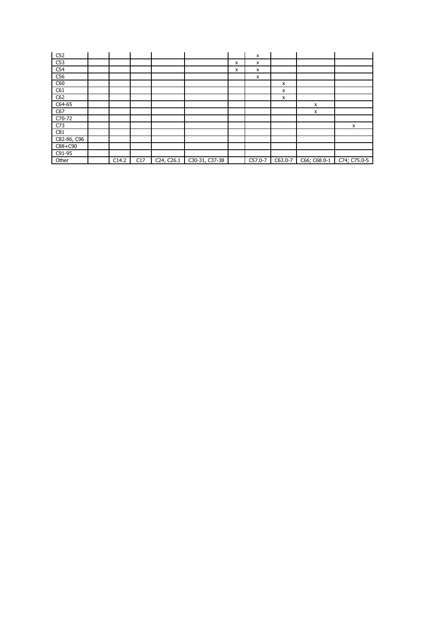| C52         |       |     |            |                |   | x       |         |              |              |
|-------------|-------|-----|------------|----------------|---|---------|---------|--------------|--------------|
| C53         |       |     |            |                | x | x       |         |              |              |
| C54         |       |     |            |                | x | X       |         |              |              |
| C56         |       |     |            |                |   | x       |         |              |              |
| C60         |       |     |            |                |   |         | x       |              |              |
| C61         |       |     |            |                |   |         | x       |              |              |
| C62         |       |     |            |                |   |         | x       |              |              |
| C64-65      |       |     |            |                |   |         |         | x            |              |
| C67         |       |     |            |                |   |         |         | x            |              |
| C70-72      |       |     |            |                |   |         |         |              |              |
| C73         |       |     |            |                |   |         |         |              | x            |
| C81         |       |     |            |                |   |         |         |              |              |
| C82-86, C96 |       |     |            |                |   |         |         |              |              |
| $C88 + C90$ |       |     |            |                |   |         |         |              |              |
| C91-95      |       |     |            |                |   |         |         |              |              |
| Other       | C14.2 | C17 | C24, C26.1 | C30-31, C37-38 |   | C57.0-7 | C63.0-7 | C66; C68.0-1 | C74; C75.0-5 |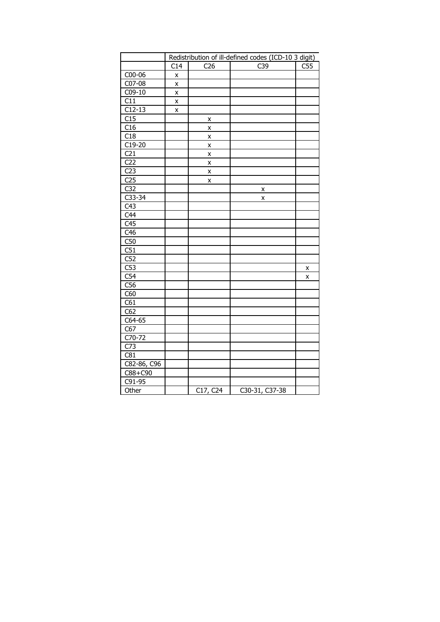|                  | Redistribution of ill-defined codes (ICD-10 3 digit) |                 |                  |     |  |  |  |
|------------------|------------------------------------------------------|-----------------|------------------|-----|--|--|--|
|                  | C14                                                  | C <sub>26</sub> | $\overline{C}39$ | C55 |  |  |  |
| C00-06           | X                                                    |                 |                  |     |  |  |  |
| C07-08           | Χ                                                    |                 |                  |     |  |  |  |
| C09-10           | X                                                    |                 |                  |     |  |  |  |
| C11              | X                                                    |                 |                  |     |  |  |  |
| $C12-13$         | X                                                    |                 |                  |     |  |  |  |
| C15              |                                                      | X               |                  |     |  |  |  |
| C16              |                                                      | X               |                  |     |  |  |  |
| $\overline{C18}$ |                                                      | X               |                  |     |  |  |  |
| $C19-20$         |                                                      | X               |                  |     |  |  |  |
| C <sub>21</sub>  |                                                      | X               |                  |     |  |  |  |
| C <sub>22</sub>  |                                                      | X               |                  |     |  |  |  |
| C <sub>23</sub>  |                                                      | X               |                  |     |  |  |  |
| C <sub>25</sub>  |                                                      | X               |                  |     |  |  |  |
| C <sub>32</sub>  |                                                      |                 | X                |     |  |  |  |
| $C33-34$         |                                                      |                 | X                |     |  |  |  |
| C43              |                                                      |                 |                  |     |  |  |  |
| C44              |                                                      |                 |                  |     |  |  |  |
| C45              |                                                      |                 |                  |     |  |  |  |
| C <sub>46</sub>  |                                                      |                 |                  |     |  |  |  |
| C50              |                                                      |                 |                  |     |  |  |  |
| $\overline{C51}$ |                                                      |                 |                  |     |  |  |  |
| C52              |                                                      |                 |                  |     |  |  |  |
| C53              |                                                      |                 |                  | χ   |  |  |  |
| C54              |                                                      |                 |                  | X   |  |  |  |
| C56              |                                                      |                 |                  |     |  |  |  |
| C60              |                                                      |                 |                  |     |  |  |  |
| C61              |                                                      |                 |                  |     |  |  |  |
| $\overline{C62}$ |                                                      |                 |                  |     |  |  |  |
| C64-65           |                                                      |                 |                  |     |  |  |  |
| C67              |                                                      |                 |                  |     |  |  |  |
| $C70-72$         |                                                      |                 |                  |     |  |  |  |
| C <sub>73</sub>  |                                                      |                 |                  |     |  |  |  |
| C81              |                                                      |                 |                  |     |  |  |  |
| C82-86, C96      |                                                      |                 |                  |     |  |  |  |
| C88+C90          |                                                      |                 |                  |     |  |  |  |
| C91-95           |                                                      |                 |                  |     |  |  |  |
| Other            |                                                      | C17, C24        | $C30-31, C37-38$ |     |  |  |  |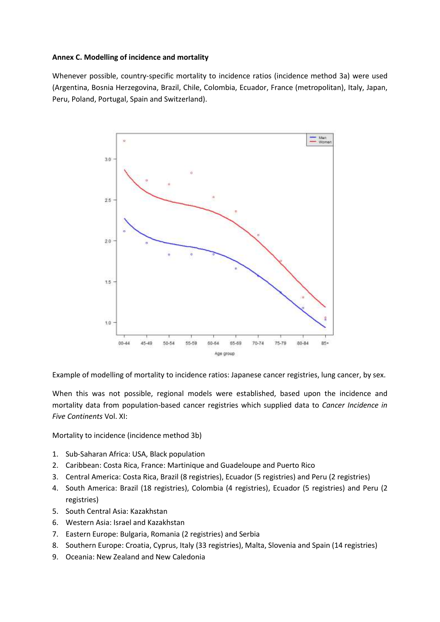### **Annex C. Modelling of incidence and mortality**

Whenever possible, country-specific mortality to incidence ratios (incidence method 3a) were used (Argentina, Bosnia Herzegovina, Brazil, Chile, Colombia, Ecuador, France (metropolitan), Italy, Japan, Peru, Poland, Portugal, Spain and Switzerland).



Example of modelling of mortality to incidence ratios: Japanese cancer registries, lung cancer, by sex.

When this was not possible, regional models were established, based upon the incidence and mortality data from population-based cancer registries which supplied data to *Cancer Incidence in Five Continents* Vol. XI:

Mortality to incidence (incidence method 3b)

- 1. Sub-Saharan Africa: USA, Black population
- 2. Caribbean: Costa Rica, France: Martinique and Guadeloupe and Puerto Rico
- 3. Central America: Costa Rica, Brazil (8 registries), Ecuador (5 registries) and Peru (2 registries)
- 4. South America: Brazil (18 registries), Colombia (4 registries), Ecuador (5 registries) and Peru (2 registries)
- 5. South Central Asia: Kazakhstan
- 6. Western Asia: Israel and Kazakhstan
- 7. Eastern Europe: Bulgaria, Romania (2 registries) and Serbia
- 8. Southern Europe: Croatia, Cyprus, Italy (33 registries), Malta, Slovenia and Spain (14 registries)
- 9. Oceania: New Zealand and New Caledonia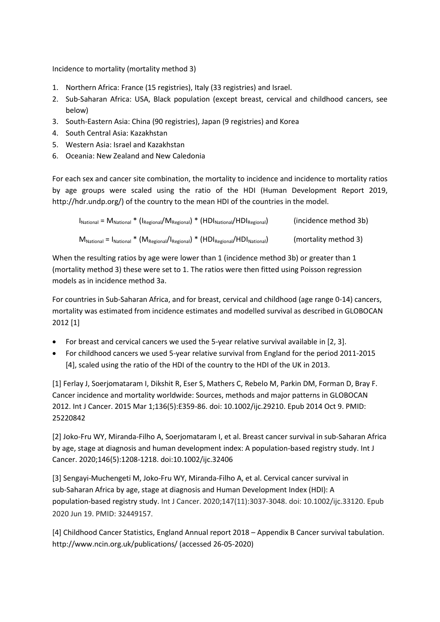Incidence to mortality (mortality method 3)

- 1. Northern Africa: France (15 registries), Italy (33 registries) and Israel.
- 2. Sub-Saharan Africa: USA, Black population (except breast, cervical and childhood cancers, see below)
- 3. South-Eastern Asia: China (90 registries), Japan (9 registries) and Korea
- 4. South Central Asia: Kazakhstan
- 5. Western Asia: Israel and Kazakhstan
- 6. Oceania: New Zealand and New Caledonia

For each sex and cancer site combination, the mortality to incidence and incidence to mortality ratios by age groups were scaled using the ratio of the HDI (Human Development Report 2019, http://hdr.undp.org/) of the country to the mean HDI of the countries in the model.

| $I_{\text{National}} = M_{\text{National}} * (I_{\text{Regional}} / M_{\text{Regional}}) * (HDI_{\text{National}} / HDI_{\text{Regional}})$ | (incidence method 3b) |
|---------------------------------------------------------------------------------------------------------------------------------------------|-----------------------|
| $M_{\text{National}} = I_{\text{National}} * (M_{\text{Regional}}/I_{\text{Regional}}) * (HDI_{\text{Regional}}/HDI_{\text{National}})$     | (mortality method 3)  |

When the resulting ratios by age were lower than 1 (incidence method 3b) or greater than 1 (mortality method 3) these were set to 1. The ratios were then fitted using Poisson regression models as in incidence method 3a.

For countries in Sub-Saharan Africa, and for breast, cervical and childhood (age range 0-14) cancers, mortality was estimated from incidence estimates and modelled survival as described in GLOBOCAN 2012 [1]

- For breast and cervical cancers we used the 5-year relative survival available in [2, 3].
- For childhood cancers we used 5-year relative survival from England for the period 2011-2015 [4], scaled using the ratio of the HDI of the country to the HDI of the UK in 2013.

[1] Ferlay J, Soerjomataram I, Dikshit R, Eser S, Mathers C, Rebelo M, Parkin DM, Forman D, Bray F. Cancer incidence and mortality worldwide: Sources, methods and major patterns in GLOBOCAN 2012. Int J Cancer. 2015 Mar 1;136(5):E359-86. doi: 10.1002/ijc.29210. Epub 2014 Oct 9. PMID: 25220842

[2] Joko-Fru WY, Miranda-Filho A, Soerjomataram I, et al. Breast cancer survival in sub-Saharan Africa by age, stage at diagnosis and human development index: A population-based registry study. Int J Cancer. 2020;146(5):1208‐1218. doi:10.1002/ijc.32406

[3] Sengayi‐Muchengeti M, Joko‐Fru WY, Miranda‐Filho A, et al. Cervical cancer survival in sub‐Saharan Africa by age, stage at diagnosis and Human Development Index (HDI): A population‐based registry study. Int J Cancer. 2020;147(11):3037-3048. doi: 10.1002/ijc.33120. Epub 2020 Jun 19. PMID: 32449157.

[4] Childhood Cancer Statistics, England Annual report 2018 – Appendix B Cancer survival tabulation. http://www.ncin.org.uk/publications/ (accessed 26-05-2020)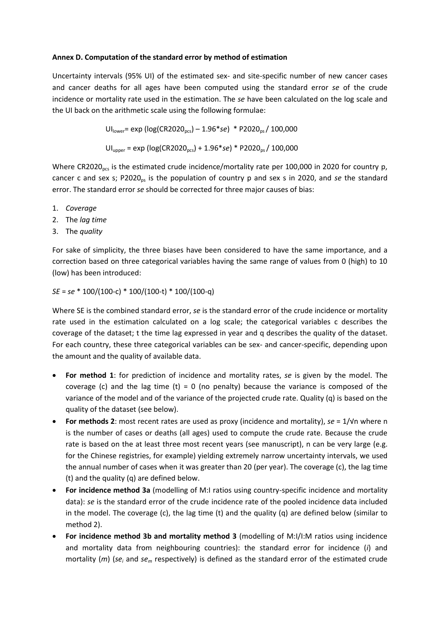### **Annex D. Computation of the standard error by method of estimation**

Uncertainty intervals (95% UI) of the estimated sex- and site-specific number of new cancer cases and cancer deaths for all ages have been computed using the standard error *se* of the crude incidence or mortality rate used in the estimation. The *se* have been calculated on the log scale and the UI back on the arithmetic scale using the following formulae:

> UI<sub>lower</sub>= exp (log(CR2020<sub>pcs</sub>) – 1.96\*se) \* P2020<sub>ps</sub>/ 100,000 UI<sub>upper</sub> = exp (log(CR2020<sub>pcs</sub>) + 1.96\*se) \* P2020<sub>ps</sub>/ 100,000

Where CR2020<sub>pcs</sub> is the estimated crude incidence/mortality rate per 100,000 in 2020 for country p, cancer c and sex s; P2020<sub>ps</sub> is the population of country p and sex s in 2020, and *se* the standard error. The standard error *se* should be corrected for three major causes of bias:

- 1. *Coverage*
- 2. The *lag time*
- 3. The *quality*

For sake of simplicity, the three biases have been considered to have the same importance, and a correction based on three categorical variables having the same range of values from 0 (high) to 10 (low) has been introduced:

*SE* = *se* \* 100/(100-c) \* 100/(100-t) \* 100/(100-q)

Where SE is the combined standard error, *se* is the standard error of the crude incidence or mortality rate used in the estimation calculated on a log scale; the categorical variables c describes the coverage of the dataset; t the time lag expressed in year and q describes the quality of the dataset. For each country, these three categorical variables can be sex- and cancer-specific, depending upon the amount and the quality of available data.

- **For method 1**: for prediction of incidence and mortality rates, *se* is given by the model. The coverage (c) and the lag time (t) = 0 (no penalty) because the variance is composed of the variance of the model and of the variance of the projected crude rate. Quality (q) is based on the quality of the dataset (see below).
- **For methods 2**: most recent rates are used as proxy (incidence and mortality), *se* = 1/√n where n is the number of cases or deaths (all ages) used to compute the crude rate. Because the crude rate is based on the at least three most recent years (see manuscript), n can be very large (e.g. for the Chinese registries, for example) yielding extremely narrow uncertainty intervals, we used the annual number of cases when it was greater than 20 (per year). The coverage (c), the lag time (t) and the quality (q) are defined below.
- **For incidence method 3a** (modelling of M:I ratios using country-specific incidence and mortality data): *se* is the standard error of the crude incidence rate of the pooled incidence data included in the model. The coverage (c), the lag time (t) and the quality (q) are defined below (similar to method 2).
- **For incidence method 3b and mortality method 3** (modelling of M:I/I:M ratios using incidence and mortality data from neighbouring countries): the standard error for incidence (*i*) and mortality (*m*) (*se<sup>i</sup>* and *se<sup>m</sup>* respectively) is defined as the standard error of the estimated crude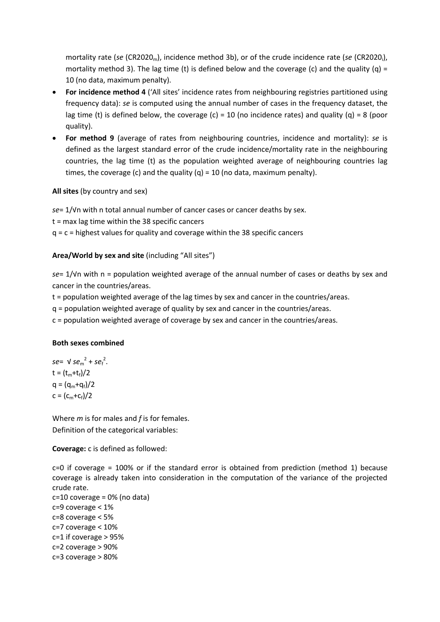mortality rate (*se* (CR2020<sub>m</sub>), incidence method 3b), or of the crude incidence rate (*se* (CR2020<sub>i</sub>), mortality method 3). The lag time (t) is defined below and the coverage (c) and the quality (q) = 10 (no data, maximum penalty).

- **For incidence method 4** ('All sites' incidence rates from neighbouring registries partitioned using frequency data): *se* is computed using the annual number of cases in the frequency dataset, the lag time (t) is defined below, the coverage (c) = 10 (no incidence rates) and quality (q) = 8 (poor quality).
- **For method 9** (average of rates from neighbouring countries, incidence and mortality): *se* is defined as the largest standard error of the crude incidence/mortality rate in the neighbouring countries, the lag time (t) as the population weighted average of neighbouring countries lag times, the coverage (c) and the quality (q) = 10 (no data, maximum penalty).

# **All sites** (by country and sex)

*se*= 1/√n with n total annual number of cancer cases or cancer deaths by sex. t = max lag time within the 38 specific cancers  $q = c =$  highest values for quality and coverage within the 38 specific cancers

# **Area/World by sex and site** (including "All sites")

*se*= 1/√n with n = population weighted average of the annual number of cases or deaths by sex and cancer in the countries/areas.

t = population weighted average of the lag times by sex and cancer in the countries/areas.

q = population weighted average of quality by sex and cancer in the countries/areas.

c = population weighted average of coverage by sex and cancer in the countries/areas.

# **Both sexes combined**

 $se = V se_m^2 + se_f^2$ .  $t = (t_m + t_f)/2$  $q = (q_m + q_f)/2$  $c = (c_m + c_f)/2$ 

Where *m* is for males and *f* is for females. Definition of the categorical variables:

**Coverage:** c is defined as followed:

c=0 if coverage = 100% or if the standard error is obtained from prediction (method 1) because coverage is already taken into consideration in the computation of the variance of the projected crude rate.

```
c=10 coverage = 0% (no data)
c=9 coverage < 1%
c=8 coverage < 5%
c=7 coverage < 10%
c=1 if coverage > 95%
c=2 coverage > 90%
c=3 coverage > 80%
```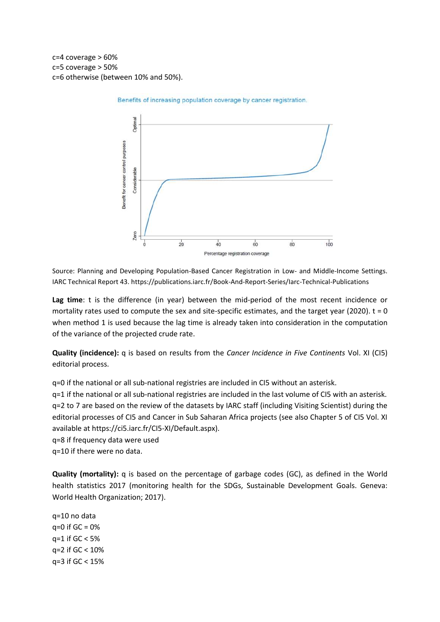c=4 coverage > 60% c=5 coverage > 50% c=6 otherwise (between 10% and 50%).



Benefits of increasing population coverage by cancer registration.

Source: Planning and Developing Population-Based Cancer Registration in Low- and Middle-Income Settings. IARC Technical Report 43. https://publications.iarc.fr/Book-And-Report-Series/Iarc-Technical-Publications

**Lag time**: t is the difference (in year) between the mid-period of the most recent incidence or mortality rates used to compute the sex and site-specific estimates, and the target year (2020).  $t = 0$ when method 1 is used because the lag time is already taken into consideration in the computation of the variance of the projected crude rate.

**Quality (incidence):** q is based on results from the *Cancer Incidence in Five Continents* Vol. XI (CI5) editorial process.

q=0 if the national or all sub-national registries are included in CI5 without an asterisk.

q=1 if the national or all sub-national registries are included in the last volume of CI5 with an asterisk. q=2 to 7 are based on the review of the datasets by IARC staff (including Visiting Scientist) during the editorial processes of CI5 and Cancer in Sub Saharan Africa projects (see also Chapter 5 of CI5 Vol. XI available at https://ci5.iarc.fr/CI5-XI/Default.aspx).

q=8 if frequency data were used

q=10 if there were no data.

**Quality (mortality):** q is based on the percentage of garbage codes (GC), as defined in the World health statistics 2017 (monitoring health for the SDGs, Sustainable Development Goals. Geneva: World Health Organization; 2017).

q=10 no data q=0 if GC = 0%  $q=1$  if  $GC < 5%$ q=2 if GC < 10% q=3 if GC < 15%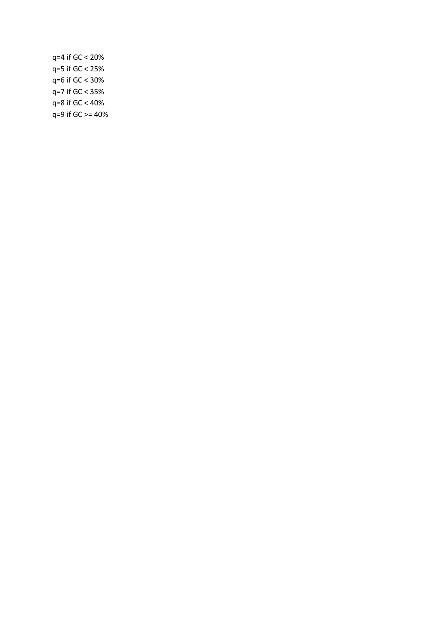q=4 if GC < 20% q=5 if GC < 25% q=6 if GC < 30% q=7 if GC < 35% q=8 if GC < 40% q=9 if GC >= 40%